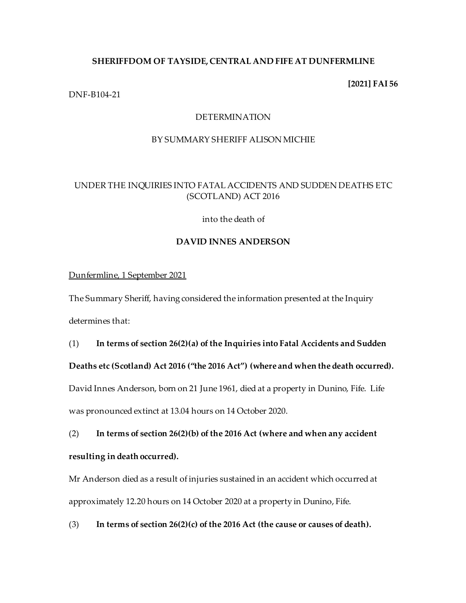# **SHERIFFDOM OF TAYSIDE, CENTRAL AND FIFE AT DUNFERMLINE**

#### **[2021] FAI 56**

## DNF-B104-21

## DETERMINATION

# BY SUMMARY SHERIFF ALISON MICHIE

# UNDER THE INQUIRIES INTO FATAL ACCIDENTS AND SUDDEN DEATHS ETC (SCOTLAND) ACT 2016

into the death of

## **DAVID INNES ANDERSON**

# Dunfermline, 1 September 2021

The Summary Sheriff, having considered the information presented at the Inquiry determines that:

#### (1) **In terms of section 26(2)(a) of the Inquiries into Fatal Accidents and Sudden**

**Deaths etc (Scotland) Act 2016 ("the 2016 Act") (where and when the death occurred).**

David Innes Anderson, born on 21 June 1961, died at a property in Dunino, Fife. Life was pronounced extinct at 13.04 hours on 14 October 2020.

(2) **In terms of section 26(2)(b) of the 2016 Act (where and when any accident resulting in death occurred).**

Mr Anderson died as a result of injuries sustained in an accident which occurred at approximately 12.20 hours on 14 October 2020 at a property in Dunino, Fife.

(3) **In terms of section 26(2)(c) of the 2016 Act (the cause or causes of death).**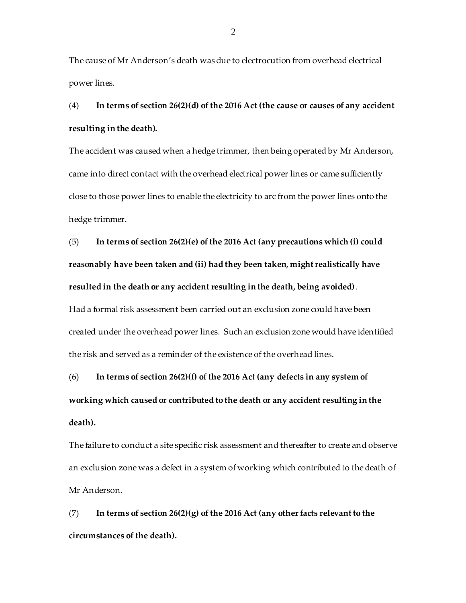The cause of Mr Anderson's death was due to electrocution from overhead electrical power lines.

(4) **In terms of section 26(2)(d) of the 2016 Act (the cause or causes of any accident resulting in the death).**

The accident was caused when a hedge trimmer, then being operated by Mr Anderson, came into direct contact with the overhead electrical power lines or came sufficiently close to those power lines to enable the electricity to arc from the power lines onto the hedge trimmer.

(5) **In terms of section 26(2)(e) of the 2016 Act (any precautions which (i) could reasonably have been taken and (ii) had they been taken, might realistically have resulted in the death or any accident resulting in the death, being avoided)**.

Had a formal risk assessment been carried out an exclusion zone could have been created under the overhead power lines. Such an exclusion zone would have identified the risk and served as a reminder of the existence of the overhead lines.

(6) **In terms of section 26(2)(f) of the 2016 Act (any defects in any system of working which caused or contributed to the death or any accident resulting in the death).**

The failure to conduct a site specific risk assessment and thereafter to create and observe an exclusion zone was a defect in a system of working which contributed to the death of Mr Anderson.

(7) **In terms of section 26(2)(g) of the 2016 Act (any other facts relevant to the circumstances of the death).**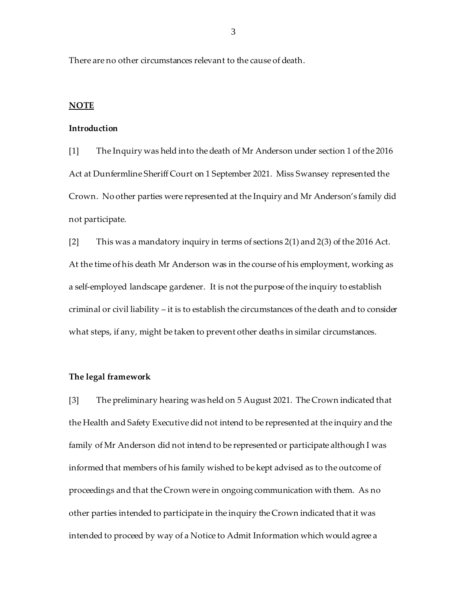There are no other circumstances relevant to the cause of death.

#### **NOTE**

#### **Introduction**

[1] The Inquiry was held into the death of Mr Anderson under section 1 of the 2016 Act at Dunfermline Sheriff Court on 1 September 2021. Miss Swansey represented the Crown. No other parties were represented at the Inquiry and Mr Anderson's family did not participate.

[2] This was a mandatory inquiry in terms of sections 2(1) and 2(3) of the 2016 Act. At the time of his death Mr Anderson was in the course of his employment, working as a self-employed landscape gardener. It is not the purpose of the inquiry to establish criminal or civil liability – it is to establish the circumstances of the death and to consider what steps, if any, might be taken to prevent other deaths in similar circumstances.

## **The legal framework**

[3] The preliminary hearing was held on 5 August 2021. The Crown indicated that the Health and Safety Executive did not intend to be represented at the inquiry and the family of Mr Anderson did not intend to be represented or participate although I was informed that members of his family wished to be kept advised as to the outcome of proceedings and that the Crown were in ongoing communication with them. As no other parties intended to participate in the inquiry the Crown indicated that it was intended to proceed by way of a Notice to Admit Information which would agree a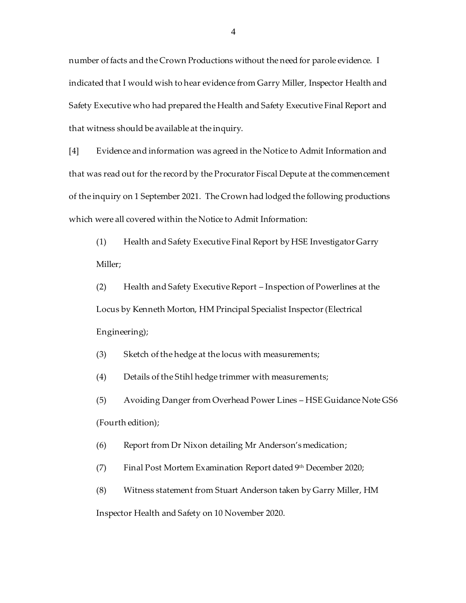number of facts and the Crown Productions without the need for parole evidence. I indicated that I would wish to hear evidence from Garry Miller, Inspector Health and Safety Executive who had prepared the Health and Safety Executive Final Report and that witness should be available at the inquiry.

[4] Evidence and information was agreed in the Notice to Admit Information and that was read out for the record by the Procurator Fiscal Depute at the commencement of the inquiry on 1 September 2021. The Crown had lodged the following productions which were all covered within the Notice to Admit Information:

(1) Health and Safety Executive Final Report by HSE Investigator Garry Miller;

(2) Health and Safety Executive Report – Inspection of Powerlines at the Locus by Kenneth Morton, HM Principal Specialist Inspector (Electrical Engineering);

(3) Sketch of the hedge at the locus with measurements;

(4) Details of the Stihl hedge trimmer with measurements;

(5) Avoiding Danger from Overhead Power Lines – HSE Guidance Note GS6 (Fourth edition);

(6) Report from Dr Nixon detailing Mr Anderson's medication;

(7) Final Post Mortem Examination Report dated 9th December 2020;

(8) Witness statement from Stuart Anderson taken by Garry Miller, HM Inspector Health and Safety on 10 November 2020.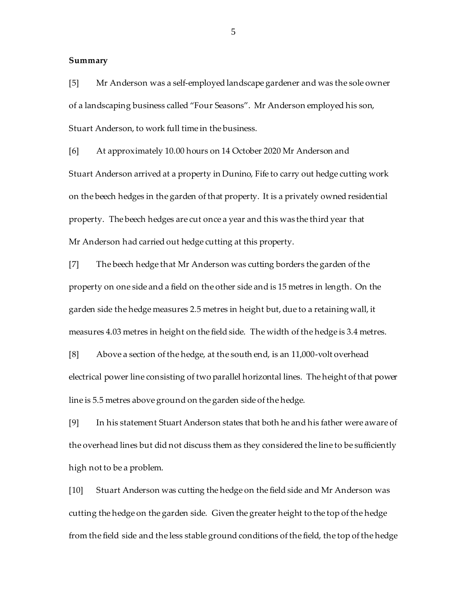#### **Summary**

[5] Mr Anderson was a self-employed landscape gardener and was the sole owner of a landscaping business called "Four Seasons". Mr Anderson employed his son, Stuart Anderson, to work full time in the business.

[6] At approximately 10.00 hours on 14 October 2020 Mr Anderson and Stuart Anderson arrived at a property in Dunino, Fife to carry out hedge cutting work on the beech hedges in the garden of that property. It is a privately owned residential property. The beech hedges are cut once a year and this was the third year that Mr Anderson had carried out hedge cutting at this property.

[7] The beech hedge that Mr Anderson was cutting borders the garden of the property on one side and a field on the other side and is 15 metres in length. On the garden side the hedge measures 2.5 metres in height but, due to a retaining wall, it measures 4.03 metres in height on the field side. The width of the hedge is 3.4 metres.

[8] Above a section of the hedge, at the south end, is an 11,000-volt overhead electrical power line consisting of two parallel horizontal lines. The height of that power line is 5.5 metres above ground on the garden side of the hedge.

[9] In his statement Stuart Anderson states that both he and his father were aware of the overhead lines but did not discuss them as they considered the line to be sufficiently high not to be a problem.

[10] Stuart Anderson was cutting the hedge on the field side and Mr Anderson was cutting the hedge on the garden side. Given the greater height to the top of the hedge from the field side and the less stable ground conditions of the field, the top of the hedge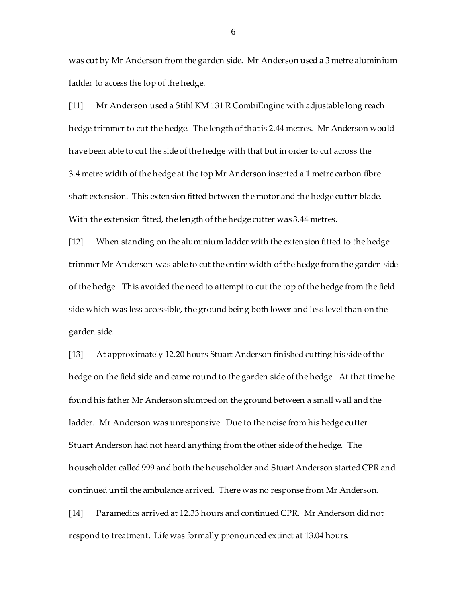was cut by Mr Anderson from the garden side. Mr Anderson used a 3 metre aluminium ladder to access the top of the hedge.

[11] Mr Anderson used a Stihl KM 131 R CombiEngine with adjustable long reach hedge trimmer to cut the hedge. The length of that is 2.44 metres. Mr Anderson would have been able to cut the side of the hedge with that but in order to cut across the 3.4 metre width of the hedge at the top Mr Anderson inserted a 1 metre carbon fibre shaft extension. This extension fitted between the motor and the hedge cutter blade. With the extension fitted, the length of the hedge cutter was 3.44 metres.

[12] When standing on the aluminium ladder with the extension fitted to the hedge trimmer Mr Anderson was able to cut the entire width of the hedge from the garden side of the hedge. This avoided the need to attempt to cut the top of the hedge from the field side which was less accessible, the ground being both lower and less level than on the garden side.

[13] At approximately 12.20 hours Stuart Anderson finished cutting his side of the hedge on the field side and came round to the garden side of the hedge. At that time he found his father Mr Anderson slumped on the ground between a small wall and the ladder. Mr Anderson was unresponsive. Due to the noise from his hedge cutter Stuart Anderson had not heard anything from the other side of the hedge. The householder called 999 and both the householder and Stuart Anderson started CPR and continued until the ambulance arrived. There was no response from Mr Anderson.

[14] Paramedics arrived at 12.33 hours and continued CPR. Mr Anderson did not respond to treatment. Life was formally pronounced extinct at 13.04 hours.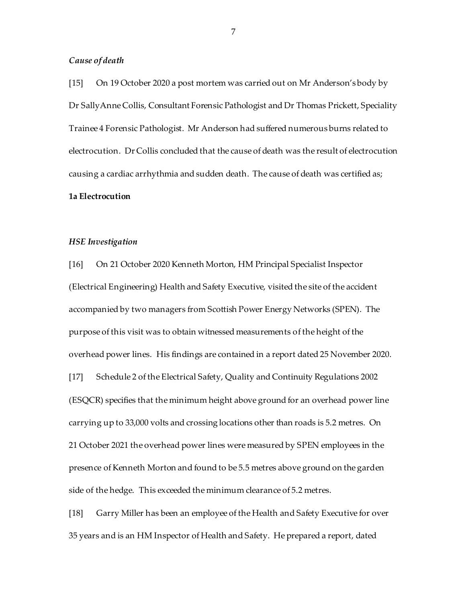#### *Cause of death*

[15] On 19 October 2020 a post mortem was carried out on Mr Anderson's body by Dr SallyAnne Collis, Consultant Forensic Pathologist and Dr Thomas Prickett, Speciality Trainee 4 Forensic Pathologist. Mr Anderson had suffered numerous burns related to electrocution. Dr Collis concluded that the cause of death was the result of electrocution causing a cardiac arrhythmia and sudden death. The cause of death was certified as; **1a Electrocution**

#### *HSE Investigation*

[16] On 21 October 2020 Kenneth Morton, HM Principal Specialist Inspector (Electrical Engineering) Health and Safety Executive, visited the site of the accident accompanied by two managers from Scottish Power Energy Networks (SPEN). The purpose of this visit was to obtain witnessed measurements of the height of the overhead power lines. His findings are contained in a report dated 25 November 2020.

[17] Schedule 2 of the Electrical Safety, Quality and Continuity Regulations 2002 (ESQCR) specifies that the minimum height above ground for an overhead power line carrying up to 33,000 volts and crossing locations other than roads is 5.2 metres. On 21 October 2021 the overhead power lines were measured by SPEN employees in the presence of Kenneth Morton and found to be 5.5 metres above ground on the garden side of the hedge. This exceeded the minimum clearance of 5.2 metres.

[18] Garry Miller has been an employee of the Health and Safety Executive for over 35 years and is an HM Inspector of Health and Safety. He prepared a report, dated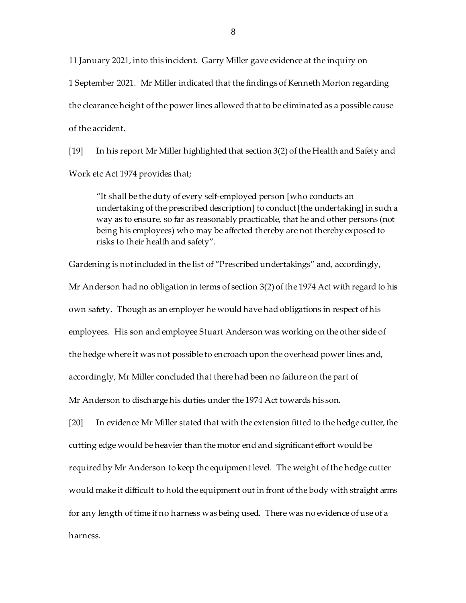11 January 2021, into this incident. Garry Miller gave evidence at the inquiry on 1 September 2021. Mr Miller indicated that the findings of Kenneth Morton regarding the clearance height of the power lines allowed that to be eliminated as a possible cause of the accident.

[19] In his report Mr Miller highlighted that section 3(2) of the Health and Safety and Work etc Act 1974 provides that;

"It shall be the duty of every self-employed person [who conducts an undertaking of the prescribed description] to conduct [the undertaking] in such a way as to ensure, so far as reasonably practicable, that he and other persons (not being his employees) who may be affected thereby are not thereby exposed to risks to their health and safety".

Gardening is not included in the list of "Prescribed undertakings" and, accordingly,

Mr Anderson had no obligation in terms of section 3(2) of the 1974 Act with regard to his own safety. Though as an employer he would have had obligations in respect of his employees. His son and employee Stuart Anderson was working on the other side of the hedge where it was not possible to encroach upon the overhead power lines and, accordingly, Mr Miller concluded that there had been no failure on the part of

Mr Anderson to discharge his duties under the 1974 Act towards his son.

[20] In evidence Mr Miller stated that with the extension fitted to the hedge cutter, the cutting edge would be heavier than the motor end and significant effort would be required by Mr Anderson to keep the equipment level. The weight of the hedge cutter would make it difficult to hold the equipment out in front of the body with straight arms for any length of time if no harness was being used. There was no evidence of use of a harness.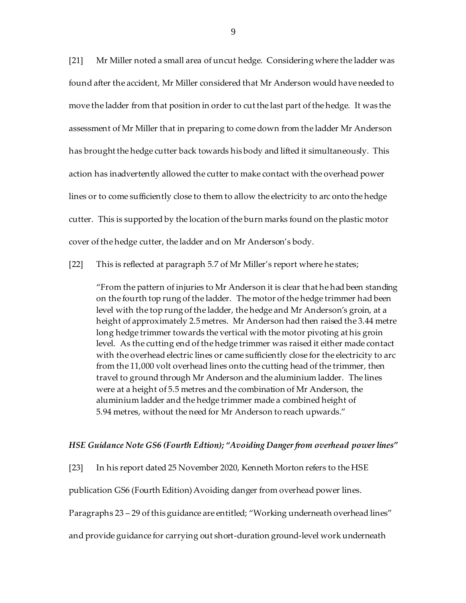[21] Mr Miller noted a small area of uncut hedge. Considering where the ladder was found after the accident, Mr Miller considered that Mr Anderson would have needed to move the ladder from that position in order to cut the last part of the hedge. It was the assessment of Mr Miller that in preparing to come down from the ladder Mr Anderson has brought the hedge cutter back towards his body and lifted it simultaneously. This action has inadvertently allowed the cutter to make contact with the overhead power lines or to come sufficiently close to them to allow the electricity to arc onto the hedge cutter. This is supported by the location of the burn marks found on the plastic motor cover of the hedge cutter, the ladder and on Mr Anderson's body.

[22] This is reflected at paragraph 5.7 of Mr Miller's report where he states;

"From the pattern of injuries to Mr Anderson it is clear that he had been standing on the fourth top rung of the ladder. The motor of the hedge trimmer had been level with the top rung of the ladder, the hedge and Mr Anderson's groin, at a height of approximately 2.5 metres. Mr Anderson had then raised the 3.44 metre long hedge trimmer towards the vertical with the motor pivoting at his groin level. As the cutting end of the hedge trimmer was raised it either made contact with the overhead electric lines or came sufficiently close for the electricity to arc from the 11,000 volt overhead lines onto the cutting head of the trimmer, then travel to ground through Mr Anderson and the aluminium ladder. The lines were at a height of 5.5 metres and the combination of Mr Anderson, the aluminium ladder and the hedge trimmer made a combined height of 5.94 metres, without the need for Mr Anderson to reach upwards."

#### *HSE Guidance Note GS6 (Fourth Edtion); "Avoiding Danger from overhead power lines"*

[23] In his report dated 25 November 2020, Kenneth Morton refers to the HSE

publication GS6 (Fourth Edition) Avoiding danger from overhead power lines.

Paragraphs 23 – 29 of this guidance are entitled; "Working underneath overhead lines"

and provide guidance for carrying out short-duration ground-level work underneath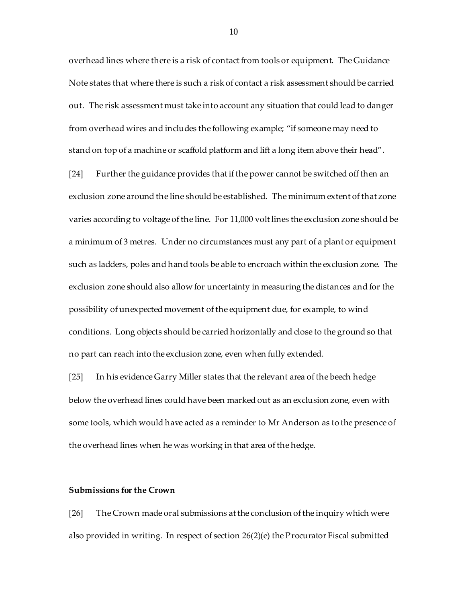overhead lines where there is a risk of contact from tools or equipment. The Guidance Note states that where there is such a risk of contact a risk assessment should be carried out. The risk assessment must take into account any situation that could lead to danger from overhead wires and includes the following example; "if someone may need to stand on top of a machine or scaffold platform and lift a long item above their head"*.* 

[24] Further the guidance provides that if the power cannot be switched off then an exclusion zone around the line should be established. The minimum extent of that zone varies according to voltage of the line. For 11,000 volt lines the exclusion zone should be a minimum of 3 metres. Under no circumstances must any part of a plant or equipment such as ladders, poles and hand tools be able to encroach within the exclusion zone. The exclusion zone should also allow for uncertainty in measuring the distances and for the possibility of unexpected movement of the equipment due, for example, to wind conditions. Long objects should be carried horizontally and close to the ground so that no part can reach into the exclusion zone, even when fully extended*.* 

[25] In his evidence Garry Miller states that the relevant area of the beech hedge below the overhead lines could have been marked out as an exclusion zone, even with some tools, which would have acted as a reminder to Mr Anderson as to the presence of the overhead lines when he was working in that area of the hedge.

## **Submissions for the Crown**

[26] The Crown made oral submissions at the conclusion of the inquiry which were also provided in writing. In respect of section 26(2)(e) the Procurator Fiscal submitted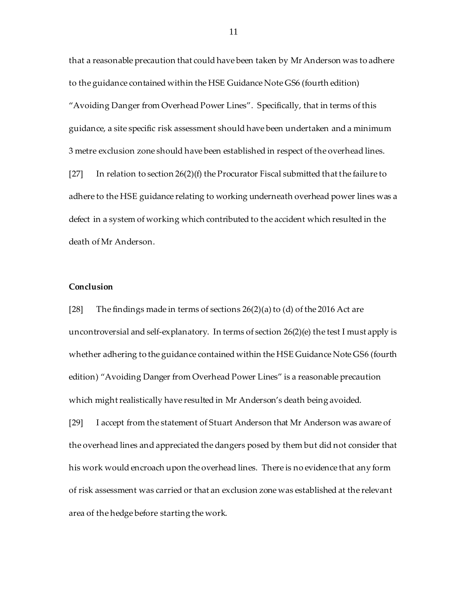that a reasonable precaution that could have been taken by Mr Anderson was to adhere to the guidance contained within the HSE Guidance Note GS6 (fourth edition) "Avoiding Danger from Overhead Power Lines". Specifically, that in terms of this guidance, a site specific risk assessment should have been undertaken and a minimum 3 metre exclusion zone should have been established in respect of the overhead lines.

[27] In relation to section  $26(2)(f)$  the Procurator Fiscal submitted that the failure to adhere to the HSE guidance relating to working underneath overhead power lines was a defect in a system of working which contributed to the accident which resulted in the death of Mr Anderson.

## **Conclusion**

[28] The findings made in terms of sections  $26(2)(a)$  to (d) of the 2016 Act are uncontroversial and self-explanatory. In terms of section  $26(2)(e)$  the test I must apply is whether adhering to the guidance contained within the HSE Guidance Note GS6 (fourth edition) "Avoiding Danger from Overhead Power Lines" is a reasonable precaution which might realistically have resulted in Mr Anderson's death being avoided.

[29] I accept from the statement of Stuart Anderson that Mr Anderson was aware of the overhead lines and appreciated the dangers posed by them but did not consider that his work would encroach upon the overhead lines. There is no evidence that any form of risk assessment was carried or that an exclusion zone was established at the relevant area of the hedge before starting the work.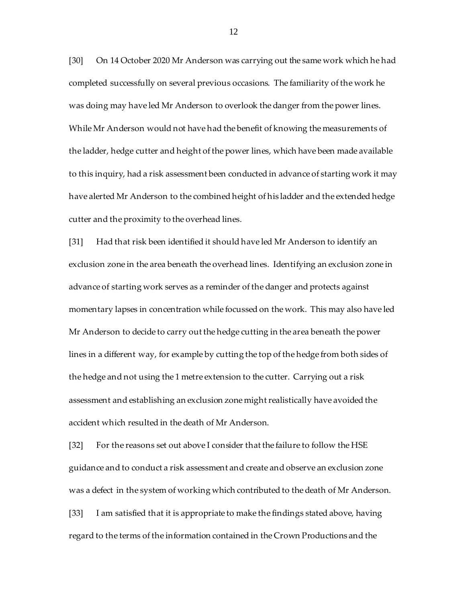[30] On 14 October 2020 Mr Anderson was carrying out the same work which he had completed successfully on several previous occasions. The familiarity of the work he was doing may have led Mr Anderson to overlook the danger from the power lines. While Mr Anderson would not have had the benefit of knowing the measurements of the ladder, hedge cutter and height of the power lines, which have been made available to this inquiry, had a risk assessment been conducted in advance of starting work it may have alerted Mr Anderson to the combined height of his ladder and the extended hedge cutter and the proximity to the overhead lines.

[31] Had that risk been identified it should have led Mr Anderson to identify an exclusion zone in the area beneath the overhead lines. Identifying an exclusion zone in advance of starting work serves as a reminder of the danger and protects against momentary lapses in concentration while focussed on the work. This may also have led Mr Anderson to decide to carry out the hedge cutting in the area beneath the power lines in a different way, for example by cutting the top of the hedge from both sides of the hedge and not using the 1 metre extension to the cutter. Carrying out a risk assessment and establishing an exclusion zone might realistically have avoided the accident which resulted in the death of Mr Anderson.

[32] For the reasons set out above I consider that the failure to follow the HSE guidance and to conduct a risk assessment and create and observe an exclusion zone was a defect in the system of working which contributed to the death of Mr Anderson.

[33] I am satisfied that it is appropriate to make the findings stated above, having regard to the terms of the information contained in the Crown Productions and the